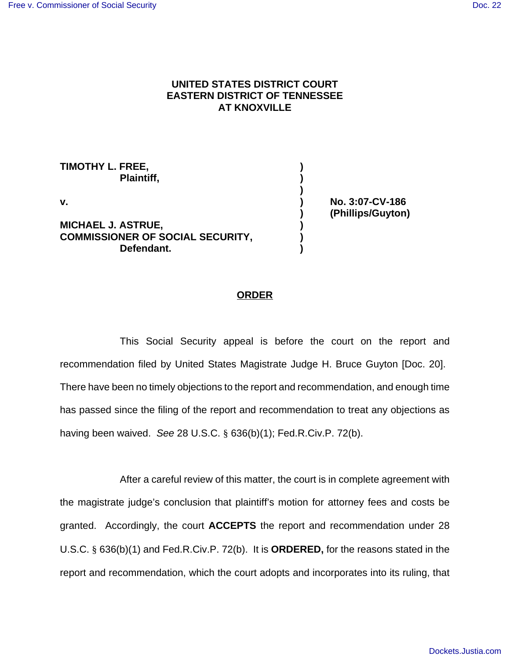## **UNITED STATES DISTRICT COURT EASTERN DISTRICT OF TENNESSEE AT KNOXVILLE**

**)**

**TIMOTHY L. FREE, ) Plaintiff, ) v. ) No. 3:07-CV-186 MICHAEL J. ASTRUE, ) COMMISSIONER OF SOCIAL SECURITY, ) Defendant. )**

**) (Phillips/Guyton)**

## **ORDER**

This Social Security appeal is before the court on the report and recommendation filed by United States Magistrate Judge H. Bruce Guyton [Doc. 20]. There have been no timely objections to the report and recommendation, and enough time has passed since the filing of the report and recommendation to treat any objections as having been waived. See 28 U.S.C. § 636(b)(1); Fed.R.Civ.P. 72(b).

After a careful review of this matter, the court is in complete agreement with the magistrate judge's conclusion that plaintiff's motion for attorney fees and costs be granted. Accordingly, the court **ACCEPTS** the report and recommendation under 28 U.S.C. § 636(b)(1) and Fed.R.Civ.P. 72(b). It is **ORDERED,** for the reasons stated in the report and recommendation, which the court adopts and incorporates into its ruling, that